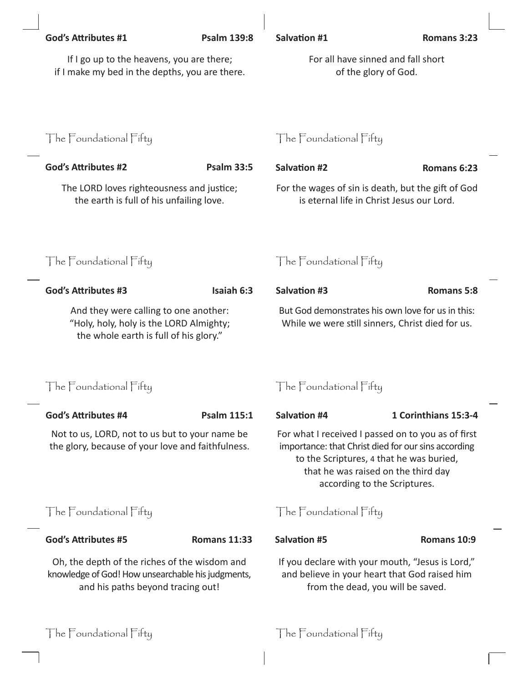|  | <b>God's Attributes #1</b>                                                                                                                           | <b>Psalm 139:8</b>  | Salvation #1                                                                                                                                                                                                                 | Romans 3:23          |  |
|--|------------------------------------------------------------------------------------------------------------------------------------------------------|---------------------|------------------------------------------------------------------------------------------------------------------------------------------------------------------------------------------------------------------------------|----------------------|--|
|  | If I go up to the heavens, you are there;<br>if I make my bed in the depths, you are there.                                                          |                     | For all have sinned and fall short<br>of the glory of God.                                                                                                                                                                   |                      |  |
|  | The Foundational Fifty                                                                                                                               |                     | The Foundational Fifty                                                                                                                                                                                                       |                      |  |
|  | <b>God's Attributes #2</b>                                                                                                                           | <b>Psalm 33:5</b>   | <b>Salvation #2</b>                                                                                                                                                                                                          | Romans 6:23          |  |
|  | The LORD loves righteousness and justice;<br>the earth is full of his unfailing love.<br>The Foundational Fifty                                      |                     | For the wages of sin is death, but the gift of God<br>is eternal life in Christ Jesus our Lord.                                                                                                                              |                      |  |
|  |                                                                                                                                                      |                     | The Foundational Fifty                                                                                                                                                                                                       |                      |  |
|  | <b>God's Attributes #3</b>                                                                                                                           | Isaiah 6:3          | <b>Salvation #3</b>                                                                                                                                                                                                          | <b>Romans 5:8</b>    |  |
|  | And they were calling to one another:<br>"Holy, holy, holy is the LORD Almighty;<br>the whole earth is full of his glory."<br>The Foundational Fifty |                     | But God demonstrates his own love for us in this:<br>While we were still sinners, Christ died for us.                                                                                                                        |                      |  |
|  |                                                                                                                                                      |                     | The Foundational Fifty                                                                                                                                                                                                       |                      |  |
|  | God's Attributes #4                                                                                                                                  | Psalm 115:1         | Salvation #4                                                                                                                                                                                                                 | 1 Corinthians 15:3-4 |  |
|  | Not to us, LORD, not to us but to your name be<br>the glory, because of your love and faithfulness.<br>The Foundational Fifty                        |                     | For what I received I passed on to you as of first<br>importance: that Christ died for our sins according<br>to the Scriptures, 4 that he was buried,<br>that he was raised on the third day<br>according to the Scriptures. |                      |  |
|  |                                                                                                                                                      |                     | The Foundational Fifty                                                                                                                                                                                                       |                      |  |
|  | <b>God's Attributes #5</b>                                                                                                                           | <b>Romans 11:33</b> | <b>Salvation #5</b>                                                                                                                                                                                                          | Romans 10:9          |  |
|  | Oh, the depth of the riches of the wisdom and<br>knowledge of God! How unsearchable his judgments,<br>and his paths beyond tracing out!              |                     | If you declare with your mouth, "Jesus is Lord,"<br>and believe in your heart that God raised him<br>from the dead, you will be saved.                                                                                       |                      |  |
|  | The Foundational Fifty                                                                                                                               |                     | The Foundational Fifty                                                                                                                                                                                                       |                      |  |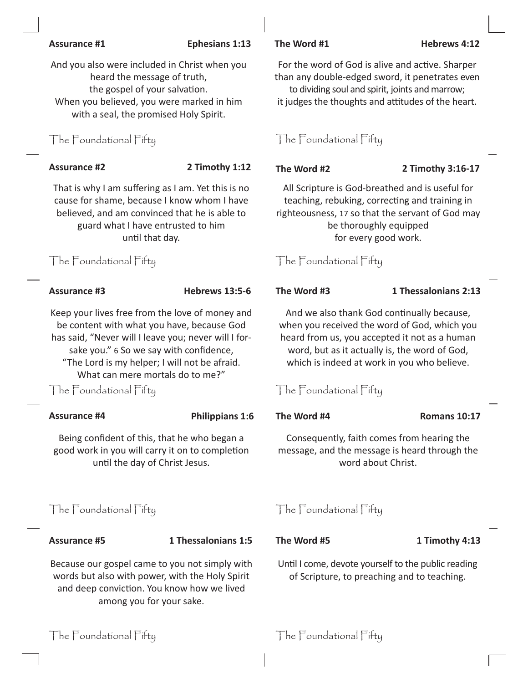### **Assurance #1 Ephesians 1:13 The Word #1 Hebrews 4:12**

And you also were included in Christ when you heard the message of truth, the gospel of your salvation. When you believed, you were marked in him with a seal, the promised Holy Spirit.

# The Foundational Fifty The Foundational Fifty

That is why I am suffering as I am. Yet this is no cause for shame, because I know whom I have believed, and am convinced that he is able to guard what I have entrusted to him until that day.

# The Foundational Fifty The Foundational Fifty

Keep your lives free from the love of money and be content with what you have, because God has said, "Never will I leave you; never will I forsake you." 6 So we say with confidence, "The Lord is my helper; I will not be afraid. What can mere mortals do to me?"

The Foundational Fifty The Foundational Fifty

# **Assurance #4 Philippians 1:6 The Word #4 Romans 10:17**

Being confident of this, that he who began a good work in you will carry it on to completion until the day of Christ Jesus.

### **Assurance #5 1 Thessalonians 1:5 The Word #5 1 Timothy 4:13**

Because our gospel came to you not simply with words but also with power, with the Holy Spirit and deep conviction. You know how we lived among you for your sake.

For the word of God is alive and active. Sharper than any double-edged sword, it penetrates even to dividing soul and spirit, joints and marrow; it judges the thoughts and attitudes of the heart.

# **Assurance #2 2 Timothy 1:12 The Word #2 2 Timothy 3:16-17**

All Scripture is God-breathed and is useful for teaching, rebuking, correcting and training in righteousness, 17 so that the servant of God may be thoroughly equipped for every good work.

### **Assurance #3 Hebrews 13:5-6 The Word #3 1 Thessalonians 2:13**

And we also thank God continually because, when you received the word of God, which you heard from us, you accepted it not as a human word, but as it actually is, the word of God, which is indeed at work in you who believe.

Consequently, faith comes from hearing the message, and the message is heard through the word about Christ.

# The Foundational Fifty The Foundational Fifty

Until I come, devote yourself to the public reading of Scripture, to preaching and to teaching.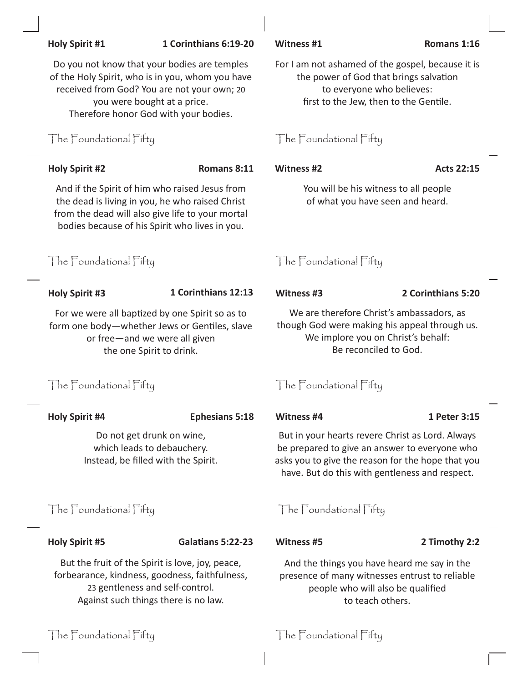| <b>Holy Spirit #1</b>                                                                                                                                                                   | 1 Corinthians 6:19-20                                                                                                                                                                                                   | Witness #1                                                                                                                                                                                               | Romans 1:16        |  |
|-----------------------------------------------------------------------------------------------------------------------------------------------------------------------------------------|-------------------------------------------------------------------------------------------------------------------------------------------------------------------------------------------------------------------------|----------------------------------------------------------------------------------------------------------------------------------------------------------------------------------------------------------|--------------------|--|
|                                                                                                                                                                                         | Do you not know that your bodies are temples<br>of the Holy Spirit, who is in you, whom you have<br>received from God? You are not your own; 20<br>you were bought at a price.<br>Therefore honor God with your bodies. | For I am not ashamed of the gospel, because it is<br>the power of God that brings salvation<br>to everyone who believes:<br>first to the Jew, then to the Gentile.                                       |                    |  |
| The Foundational Fifty                                                                                                                                                                  |                                                                                                                                                                                                                         | The Foundational Fifty                                                                                                                                                                                   |                    |  |
| <b>Holy Spirit #2</b>                                                                                                                                                                   | Romans 8:11                                                                                                                                                                                                             | <b>Witness #2</b>                                                                                                                                                                                        | <b>Acts 22:15</b>  |  |
|                                                                                                                                                                                         | And if the Spirit of him who raised Jesus from<br>the dead is living in you, he who raised Christ<br>from the dead will also give life to your mortal<br>bodies because of his Spirit who lives in you.                 | You will be his witness to all people<br>of what you have seen and heard.                                                                                                                                |                    |  |
| The Foundational Fifty                                                                                                                                                                  |                                                                                                                                                                                                                         | The Foundational Fifty                                                                                                                                                                                   |                    |  |
| <b>Holy Spirit #3</b>                                                                                                                                                                   | 1 Corinthians 12:13                                                                                                                                                                                                     | <b>Witness #3</b>                                                                                                                                                                                        | 2 Corinthians 5:20 |  |
| For we were all baptized by one Spirit so as to<br>form one body-whether Jews or Gentiles, slave<br>or free-and we were all given<br>the one Spirit to drink.<br>The Foundational Fifty |                                                                                                                                                                                                                         | We are therefore Christ's ambassadors, as<br>though God were making his appeal through us.<br>We implore you on Christ's behalf:<br>Be reconciled to God.<br>The Foundational Fifty                      |                    |  |
|                                                                                                                                                                                         |                                                                                                                                                                                                                         |                                                                                                                                                                                                          |                    |  |
| <b>Holy Spirit #4</b>                                                                                                                                                                   | <b>Ephesians 5:18</b>                                                                                                                                                                                                   | <b>Witness #4</b>                                                                                                                                                                                        | 1 Peter 3:15       |  |
| Do not get drunk on wine,<br>which leads to debauchery.<br>Instead, be filled with the Spirit.                                                                                          |                                                                                                                                                                                                                         | But in your hearts revere Christ as Lord. Always<br>be prepared to give an answer to everyone who<br>asks you to give the reason for the hope that you<br>have. But do this with gentleness and respect. |                    |  |
| The Foundational Fifty                                                                                                                                                                  |                                                                                                                                                                                                                         | The Foundational Fifty                                                                                                                                                                                   |                    |  |
| <b>Holy Spirit #5</b>                                                                                                                                                                   | <b>Galatians 5:22-23</b>                                                                                                                                                                                                | <b>Witness #5</b>                                                                                                                                                                                        | 2 Timothy 2:2      |  |
| But the fruit of the Spirit is love, joy, peace,<br>forbearance, kindness, goodness, faithfulness,<br>23 gentleness and self-control.<br>Against such things there is no law.           |                                                                                                                                                                                                                         | And the things you have heard me say in the<br>presence of many witnesses entrust to reliable<br>people who will also be qualified<br>to teach others.                                                   |                    |  |
| The Foundational Fifty                                                                                                                                                                  |                                                                                                                                                                                                                         | The Foundational Fifty                                                                                                                                                                                   |                    |  |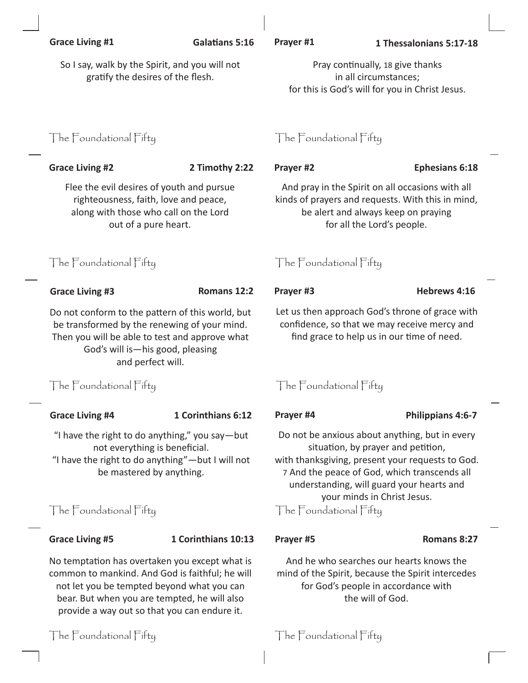|  | <b>Grace Living #1</b>                                                                                                                                                                                                                | <b>Galatians 5:16</b> | Prayer #1                                                                                                                                                                                                                                                            | 1 Thessalonians 5:17-18 |  |
|--|---------------------------------------------------------------------------------------------------------------------------------------------------------------------------------------------------------------------------------------|-----------------------|----------------------------------------------------------------------------------------------------------------------------------------------------------------------------------------------------------------------------------------------------------------------|-------------------------|--|
|  | So I say, walk by the Spirit, and you will not<br>gratify the desires of the flesh.                                                                                                                                                   |                       | Pray continually, 18 give thanks<br>in all circumstances;<br>for this is God's will for you in Christ Jesus.                                                                                                                                                         |                         |  |
|  | The Foundational Fifty                                                                                                                                                                                                                |                       | The Foundational Fifty                                                                                                                                                                                                                                               |                         |  |
|  | <b>Grace Living #2</b>                                                                                                                                                                                                                | 2 Timothy 2:22        | Prayer #2                                                                                                                                                                                                                                                            | <b>Ephesians 6:18</b>   |  |
|  | Flee the evil desires of youth and pursue<br>righteousness, faith, love and peace,<br>along with those who call on the Lord<br>out of a pure heart.                                                                                   |                       | And pray in the Spirit on all occasions with all<br>kinds of prayers and requests. With this in mind,<br>be alert and always keep on praying<br>for all the Lord's people.                                                                                           |                         |  |
|  | The Foundational Fifty                                                                                                                                                                                                                |                       | The Foundational Fifty                                                                                                                                                                                                                                               |                         |  |
|  | <b>Grace Living #3</b>                                                                                                                                                                                                                | Romans 12:2           | Prayer #3                                                                                                                                                                                                                                                            | Hebrews 4:16            |  |
|  | Do not conform to the pattern of this world, but<br>be transformed by the renewing of your mind.<br>Then you will be able to test and approve what<br>God's will is-his good, pleasing<br>and perfect will.<br>The Foundational Fifty |                       | Let us then approach God's throne of grace with<br>confidence, so that we may receive mercy and<br>find grace to help us in our time of need.                                                                                                                        |                         |  |
|  |                                                                                                                                                                                                                                       |                       | The Foundational Fifty                                                                                                                                                                                                                                               |                         |  |
|  | <b>Grace Living #4</b>                                                                                                                                                                                                                | 1 Corinthians 6:12    | Prayer #4                                                                                                                                                                                                                                                            | Philippians 4:6-7       |  |
|  | "I have the right to do anything," you say-but<br>not everything is beneficial.<br>"I have the right to do anything"-but I will not<br>be mastered by anything.                                                                       |                       | Do not be anxious about anything, but in every<br>situation, by prayer and petition,<br>with thanksgiving, present your requests to God.<br>7 And the peace of God, which transcends all<br>understanding, will guard your hearts and<br>your minds in Christ Jesus. |                         |  |
|  | The Foundational Fifty                                                                                                                                                                                                                |                       | The Foundational Fifty                                                                                                                                                                                                                                               |                         |  |
|  | <b>Grace Living #5</b>                                                                                                                                                                                                                | 1 Corinthians 10:13   | Prayer #5                                                                                                                                                                                                                                                            | Romans 8:27             |  |
|  |                                                                                                                                                                                                                                       |                       |                                                                                                                                                                                                                                                                      |                         |  |

No temptation has overtaken you except what is common to mankind. And God is faithful; he will not let you be tempted beyond what you can bear. But when you are tempted, he will also provide a way out so that you can endure it. And he who searches our hearts knows the mind of the Spirit, because the Spirit intercedes for God's people in accordance with the will of God.